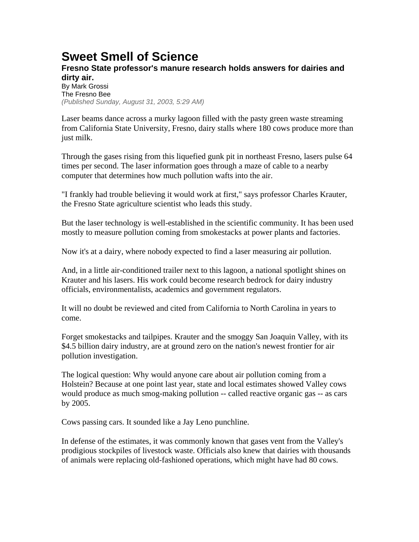## **Sweet Smell of Science**

## **Fresno State professor's manure research holds answers for dairies and dirty air.**

By Mark Grossi The Fresno Bee *(Published Sunday, August 31, 2003, 5:29 AM)* 

Laser beams dance across a murky lagoon filled with the pasty green waste streaming from California State University, Fresno, dairy stalls where 180 cows produce more than just milk.

Through the gases rising from this liquefied gunk pit in northeast Fresno, lasers pulse 64 times per second. The laser information goes through a maze of cable to a nearby computer that determines how much pollution wafts into the air.

"I frankly had trouble believing it would work at first," says professor Charles Krauter, the Fresno State agriculture scientist who leads this study.

But the laser technology is well-established in the scientific community. It has been used mostly to measure pollution coming from smokestacks at power plants and factories.

Now it's at a dairy, where nobody expected to find a laser measuring air pollution.

And, in a little air-conditioned trailer next to this lagoon, a national spotlight shines on Krauter and his lasers. His work could become research bedrock for dairy industry officials, environmentalists, academics and government regulators.

It will no doubt be reviewed and cited from California to North Carolina in years to come.

Forget smokestacks and tailpipes. Krauter and the smoggy San Joaquin Valley, with its \$4.5 billion dairy industry, are at ground zero on the nation's newest frontier for air pollution investigation.

The logical question: Why would anyone care about air pollution coming from a Holstein? Because at one point last year, state and local estimates showed Valley cows would produce as much smog-making pollution -- called reactive organic gas -- as cars by 2005.

Cows passing cars. It sounded like a Jay Leno punchline.

In defense of the estimates, it was commonly known that gases vent from the Valley's prodigious stockpiles of livestock waste. Officials also knew that dairies with thousands of animals were replacing old-fashioned operations, which might have had 80 cows.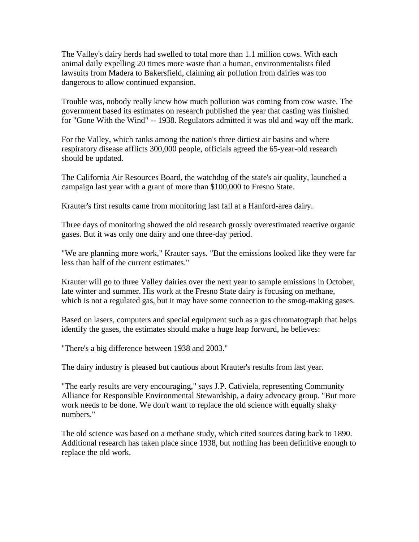The Valley's dairy herds had swelled to total more than 1.1 million cows. With each animal daily expelling 20 times more waste than a human, environmentalists filed lawsuits from Madera to Bakersfield, claiming air pollution from dairies was too dangerous to allow continued expansion.

Trouble was, nobody really knew how much pollution was coming from cow waste. The government based its estimates on research published the year that casting was finished for "Gone With the Wind" -- 1938. Regulators admitted it was old and way off the mark.

For the Valley, which ranks among the nation's three dirtiest air basins and where respiratory disease afflicts 300,000 people, officials agreed the 65-year-old research should be updated.

The California Air Resources Board, the watchdog of the state's air quality, launched a campaign last year with a grant of more than \$100,000 to Fresno State.

Krauter's first results came from monitoring last fall at a Hanford-area dairy.

Three days of monitoring showed the old research grossly overestimated reactive organic gases. But it was only one dairy and one three-day period.

"We are planning more work," Krauter says. "But the emissions looked like they were far less than half of the current estimates."

Krauter will go to three Valley dairies over the next year to sample emissions in October, late winter and summer. His work at the Fresno State dairy is focusing on methane, which is not a regulated gas, but it may have some connection to the smog-making gases.

Based on lasers, computers and special equipment such as a gas chromatograph that helps identify the gases, the estimates should make a huge leap forward, he believes:

"There's a big difference between 1938 and 2003."

The dairy industry is pleased but cautious about Krauter's results from last year.

"The early results are very encouraging," says J.P. Cativiela, representing Community Alliance for Responsible Environmental Stewardship, a dairy advocacy group. "But more work needs to be done. We don't want to replace the old science with equally shaky numbers."

The old science was based on a methane study, which cited sources dating back to 1890. Additional research has taken place since 1938, but nothing has been definitive enough to replace the old work.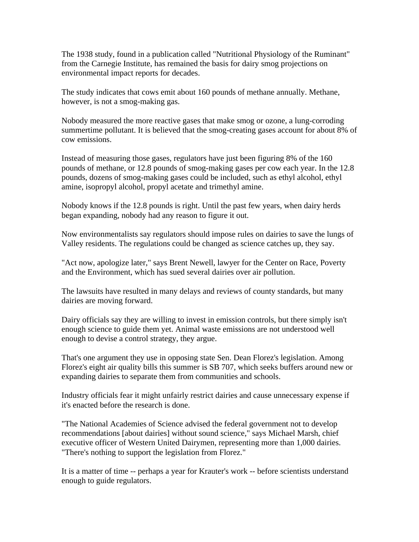The 1938 study, found in a publication called "Nutritional Physiology of the Ruminant" from the Carnegie Institute, has remained the basis for dairy smog projections on environmental impact reports for decades.

The study indicates that cows emit about 160 pounds of methane annually. Methane, however, is not a smog-making gas.

Nobody measured the more reactive gases that make smog or ozone, a lung-corroding summertime pollutant. It is believed that the smog-creating gases account for about 8% of cow emissions.

Instead of measuring those gases, regulators have just been figuring 8% of the 160 pounds of methane, or 12.8 pounds of smog-making gases per cow each year. In the 12.8 pounds, dozens of smog-making gases could be included, such as ethyl alcohol, ethyl amine, isopropyl alcohol, propyl acetate and trimethyl amine.

Nobody knows if the 12.8 pounds is right. Until the past few years, when dairy herds began expanding, nobody had any reason to figure it out.

Now environmentalists say regulators should impose rules on dairies to save the lungs of Valley residents. The regulations could be changed as science catches up, they say.

"Act now, apologize later," says Brent Newell, lawyer for the Center on Race, Poverty and the Environment, which has sued several dairies over air pollution.

The lawsuits have resulted in many delays and reviews of county standards, but many dairies are moving forward.

Dairy officials say they are willing to invest in emission controls, but there simply isn't enough science to guide them yet. Animal waste emissions are not understood well enough to devise a control strategy, they argue.

That's one argument they use in opposing state Sen. Dean Florez's legislation. Among Florez's eight air quality bills this summer is SB 707, which seeks buffers around new or expanding dairies to separate them from communities and schools.

Industry officials fear it might unfairly restrict dairies and cause unnecessary expense if it's enacted before the research is done.

"The National Academies of Science advised the federal government not to develop recommendations [about dairies] without sound science," says Michael Marsh, chief executive officer of Western United Dairymen, representing more than 1,000 dairies. "There's nothing to support the legislation from Florez."

It is a matter of time -- perhaps a year for Krauter's work -- before scientists understand enough to guide regulators.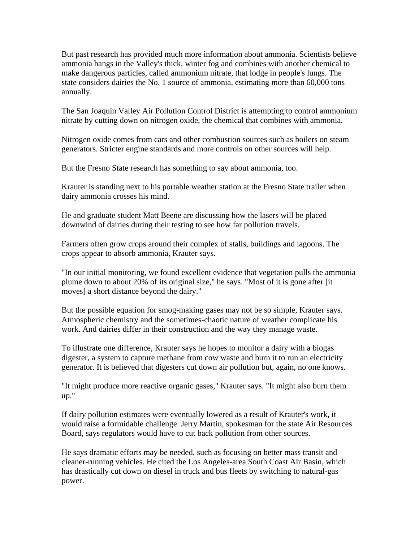But past research has provided much more information about ammonia. Scientists believe ammonia hangs in the Valley's thick, winter fog and combines with another chemical to make dangerous particles, called ammonium nitrate, that lodge in people's lungs. The state considers dairies the No. 1 source of ammonia, estimating more than 60,000 tons annually.

The San Joaquin Valley Air Pollution Control District is attempting to control ammonium nitrate by cutting down on nitrogen oxide, the chemical that combines with ammonia.

Nitrogen oxide comes from cars and other combustion sources such as boilers on steam generators. Stricter engine standards and more controls on other sources will help.

But the Fresno State research has something to say about ammonia, too.

Krauter is standing next to his portable weather station at the Fresno State trailer when dairy ammonia crosses his mind.

He and graduate student Matt Beene are discussing how the lasers will be placed downwind of dairies during their testing to see how far pollution travels.

Farmers often grow crops around their complex of stalls, buildings and lagoons. The crops appear to absorb ammonia, Krauter says.

"In our initial monitoring, we found excellent evidence that vegetation pulls the ammonia plume down to about 20% of its original size," he says. "Most of it is gone after [it moves] a short distance beyond the dairy."

But the possible equation for smog-making gases may not be so simple, Krauter says. Atmospheric chemistry and the sometimes-chaotic nature of weather complicate his work. And dairies differ in their construction and the way they manage waste.

To illustrate one difference, Krauter says he hopes to monitor a dairy with a biogas digester, a system to capture methane from cow waste and burn it to run an electricity generator. It is believed that digesters cut down air pollution but, again, no one knows.

"It might produce more reactive organic gases," Krauter says. "It might also burn them up."

If dairy pollution estimates were eventually lowered as a result of Krauter's work, it would raise a formidable challenge. Jerry Martin, spokesman for the state Air Resources Board, says regulators would have to cut back pollution from other sources.

He says dramatic efforts may be needed, such as focusing on better mass transit and cleaner-running vehicles. He cited the Los Angeles-area South Coast Air Basin, which has drastically cut down on diesel in truck and bus fleets by switching to natural-gas power.